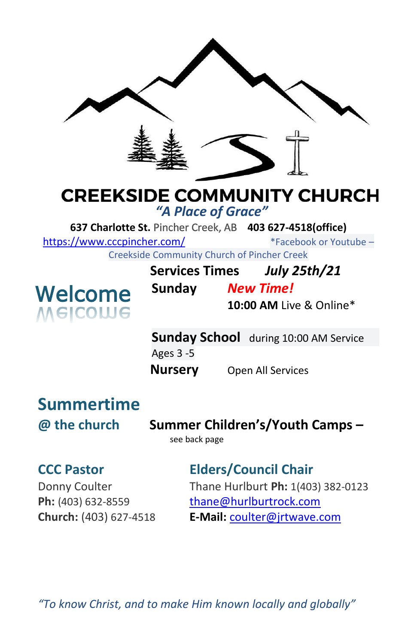

## **CREEKSIDE COMMUNITY CHURCH**

*"A Place of Grace"*

**637 Charlotte St.** Pincher Creek, AB **403 627-4518(office)** 

<https://www.cccpincher.com/>\*Facebook or Youtube –

Creekside Community Church of Pincher Creek



| Community Charge of Findical Creative |                                                       |
|---------------------------------------|-------------------------------------------------------|
| <b>Services Times</b>                 | <b>July 25th/21</b>                                   |
| Sunday                                | <b>New Time!</b>                                      |
|                                       | $10.00 \text{ AM}$ $\frac{1}{2}$ $\frac{0}{2}$ Online |

**10:00 AM** Live & Online\*

**Sunday School** during 10:00 AM Service Ages 3 -5 **Nursery** Open All Services

# **Summertime**

**@ the church Summer Children's/Youth Camps –**

see back page

## **CCC Pastor Elders/Council Chair**

Donny Coulter Thane Hurlburt **Ph:** 1(403) 382-0123 **Ph:** (403) 632-8559 [thane@hurlburtrock.com](mailto:thane@hurlburtrock.com) **Church:** (403) 627-4518 **E-Mail:** [coulter@jrtwave.com](mailto:coulter@jrtwave.com)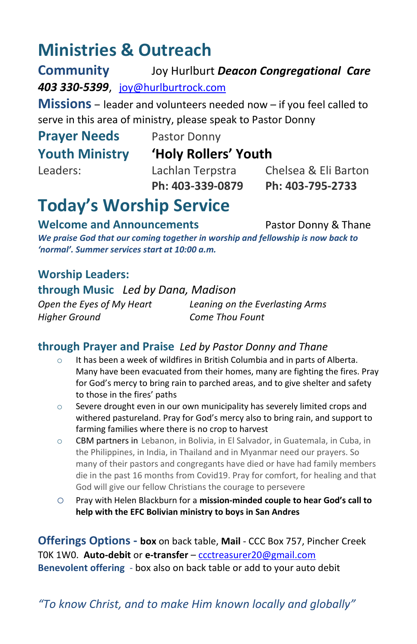## **Ministries & Outreach**

**Community** Joy Hurlburt *Deacon Congregational Care 403 330-5399*, [joy@hurlburtrock.com](mailto:joy@hurlburtrock.com)

**Missions** – leader and volunteers needed now – if you feel called to serve in this area of ministry, please speak to Pastor Donny

## **Prayer Needs** Pastor Donny

## **Youth Ministry 'Holy Rollers' Youth**

Leaders: Lachlan Terpstra Chelsea & Eli Barton **Ph: 403-339-0879 Ph: 403-795-2733**

## **Today's Worship Service**

#### **Welcome and Announcements** Pastor Donny & Thane

*We praise God that our coming together in worship and fellowship is now back to 'normal'. Summer services start at 10:00 a.m.*

### **Worship Leaders:**

**through Music** *Led by Dana, Madison*

*Higher Ground Come Thou Fount*

*Open the Eyes of My Heart Leaning on the Everlasting Arms*

### **through Prayer and Praise** *Led by Pastor Donny and Thane*

- o It has been a week of wildfires in British Columbia and in parts of Alberta. Many have been evacuated from their homes, many are fighting the fires. Pray for God's mercy to bring rain to parched areas, and to give shelter and safety to those in the fires' paths
- $\circ$  Severe drought even in our own municipality has severely limited crops and withered pastureland. Pray for God's mercy also to bring rain, and support to farming families where there is no crop to harvest
- o CBM partners in Lebanon, in Bolivia, in El Salvador, in Guatemala, in Cuba, in the Philippines, in India, in Thailand and in Myanmar need our prayers. So many of their pastors and congregants have died or have had family members die in the past 16 months from Covid19. Pray for comfort, for healing and that God will give our fellow Christians the courage to persevere
- o Pray with Helen Blackburn for a **mission-minded couple to hear God's call to help with the EFC Bolivian ministry to boys in San Andres**

**Offerings Options - box** on back table, **Mail** - CCC Box 757, Pincher Creek T0K 1W0. **Auto-debit** or **e-transfer** – [ccctreasurer20@gmail.com](mailto:ccctreasurer20@gmail.com) **Benevolent offering** - box also on back table or add to your auto debit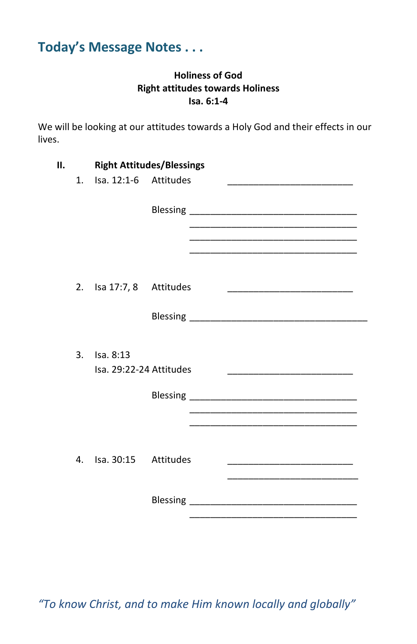## **Today's Message Notes . . .**

#### **Holiness of God Right attitudes towards Holiness Isa. 6:1-4**

We will be looking at our attitudes towards a Holy God and their effects in our lives.

| н. |    | <b>Right Attitudes/Blessings</b><br>1. Isa. 12:1-6 Attitudes |  |                                                                                                                      |                                                                            |  |
|----|----|--------------------------------------------------------------|--|----------------------------------------------------------------------------------------------------------------------|----------------------------------------------------------------------------|--|
|    |    |                                                              |  |                                                                                                                      |                                                                            |  |
|    |    |                                                              |  | <u> 1989 - Johann John Stein, markin fan it ferstjer fan it ferstjer fan it ferstjer fan it ferstjer fan it fers</u> |                                                                            |  |
|    | 2. | Isa 17:7, 8 Attitudes                                        |  |                                                                                                                      |                                                                            |  |
|    |    |                                                              |  |                                                                                                                      |                                                                            |  |
|    | 3. | Isa. 8:13<br>Isa. 29:22-24 Attitudes                         |  |                                                                                                                      |                                                                            |  |
|    |    |                                                              |  |                                                                                                                      |                                                                            |  |
|    |    |                                                              |  |                                                                                                                      |                                                                            |  |
|    | 4. | Isa. 30:15 Attitudes                                         |  |                                                                                                                      | the control of the control of the control of the control of the control of |  |
|    |    |                                                              |  |                                                                                                                      |                                                                            |  |